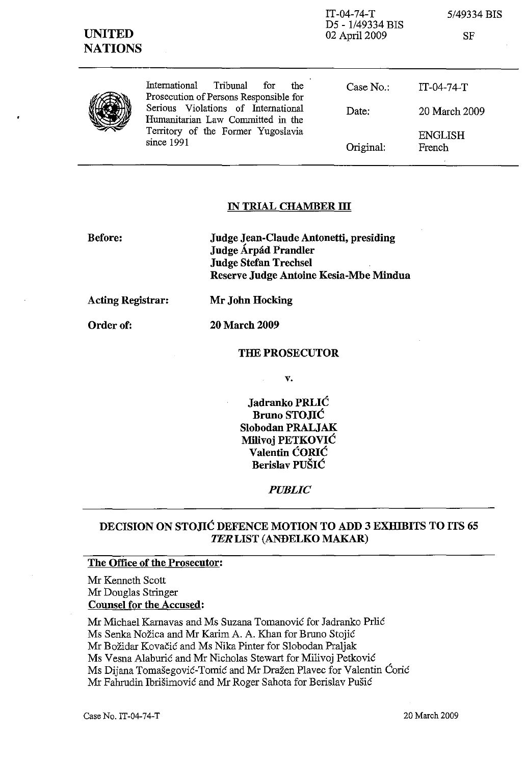| <b>UNITED</b><br><b>NATIONS</b> |                                                                                                                                                                                                                     | IT-04-74-T<br>D5 - 1/49334 BIS<br>02 April 2009 | 5/49334 BIS<br>SF        |
|---------------------------------|---------------------------------------------------------------------------------------------------------------------------------------------------------------------------------------------------------------------|-------------------------------------------------|--------------------------|
|                                 | International<br>Tribunal<br>the<br>for<br>Prosecution of Persons Responsible for<br>Serious Violations of International<br>Humanitarian Law Committed in the<br>Territory of the Former Yugoslavia<br>since $1991$ | Case No.:                                       | $IT-04-74-T$             |
|                                 |                                                                                                                                                                                                                     | Date:                                           | 20 March 2009            |
|                                 |                                                                                                                                                                                                                     | Original:                                       | <b>ENGLISH</b><br>French |

#### **IN TRIAL CHAMBER ill**

**Before:** 

**Judge Jean-Claude Antonetti, presiding Judge Arpad Prandler Judge Stefan Trechsel Reserve Judge Antoine Kesia-Mbe Mindua** 

**Acting Registrar: Mr John Hocking** 

Order of: **20 March 2009** 

#### **THE PROSECUTOR**

v.

 $\mathbf{r}$ 

**Jadranko PRLIC Bruno STOJIC Slobodan PRALJAK Milivoj PETKOVIC Valentin CORIC Berislav PUSIC** 

*PUBLIC* 

## **DECISION ON STOJIC DEFENCE MOTION TO ADD 3 EXHIBITS TO ITS 65**  *TER* **LIST (ANDELKO MAKAR)**

### **The Office of the Prosecutor:**

Mr Kenneth Scott Mr Douglas Stringer **Counsel for the Accused:** 

Mr Michael Karnavas and Ms Suzana Tomanović for Jadranko Prlić Ms Senka Nozica and Mr Karim A. A. Khan for Bruno Stojic Mr Bozidar Kovacic and Ms Nika Pinter for Slobodan Praljak Ms Vesna Alaburic and Mr Nicholas Stewart for Milivoj Petkovie Ms Dijana Tomašegović-Tomić and Mr Dražen Plavec for Valentin Corić Mr Fahrudin Ibrišimović and Mr Roger Sahota for Berislav Pušić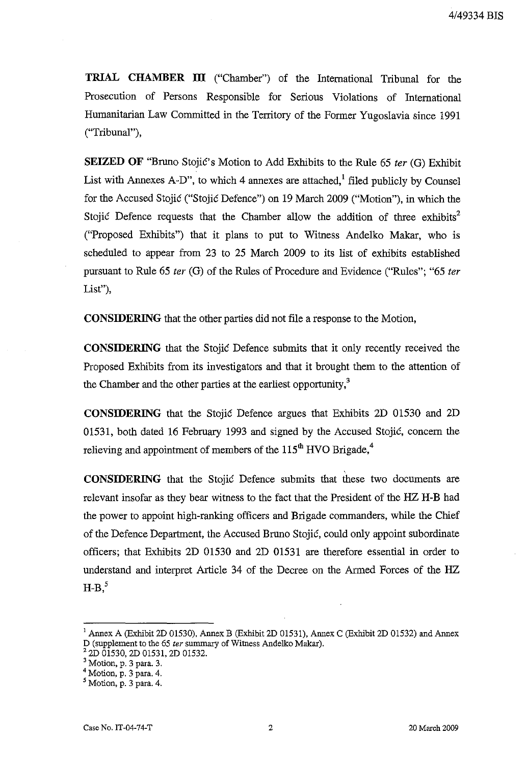**TRIAL CHAMBER ITI** ("Chamber") of the International Tribunal for the Prosecution of Persons Responsible for Serious Violations of International Humanitarian Law Committed in the Territory of the Former Yugoslavia since 1991 ("Tribunal"),

**SEIZED OF** "Bruno Stojic's Motion to Add Exhibits to the Rule 65 *ter* (G) Exhibit List with Annexes A-D", to which 4 annexes are attached,  $\frac{1}{2}$  filed publicly by Counsel for the Accused Stojic ("Stojic Defence") on 19 March 2009 ("Motion"), in which the Stojic Defence requests that the Chamber allow the addition of three exhibits<sup>2</sup> ("Proposed Exhibits") that it plans to put to Witness Andelko Makar, who is scheduled to appear from 23 to 25 March 2009 to its list of exhibits established pursuant to Rule 65 *ter* (G) of the Rules of Procedure and Evidence ("Rules"; "65 *ter*  List"),

**CONSIDERING** that the other parties did not file a response to the Motion,

**CONSIDERING** that the Stojic Defence submits that it only recently received the Proposed Exhibits from its investigators and that it brought them to the attention of the Chamber and the other parties at the earliest opportunity,<sup>3</sup>

**CONSIDERING** that the Stojic Defence argues that Exhibits 2D 01530 and 2D 01531, both dated 16 February 1993 and signed by the Accused Stojic, concern the relieving and appointment of members of the  $115<sup>th</sup>$  HVO Brigade,<sup>4</sup>

**CONSIDERING** that the Stojic Defence submits that these two documents are relevant insofar as they bear witness to the fact that the President of the HZ H-B had the power to appoint high-ranking officers and Brigade commanders, while the Chief of the Defence Department, the Accused Bruno Stojic, could only appoint subordinate officers; that Exhibits 2D 01530 and 2D 01531 are therefore essential in order to understand and interpret Article 34 of the Decree on the Armed Forces of the HZ  $H-B<sub>2</sub>$ <sup>5</sup>

<sup>&</sup>lt;sup>1</sup> Annex A (Exhibit 2D 01530), Annex B (Exhibit 2D 01531), Annex C (Exhibit 2D 01532) and Annex D (supplement to the 65 ter summary of Witness Andelko Makar).

 $2^2$  2D 01530, 2D 01531, 2D 01532.

<sup>3</sup> Motion, p. 3 para. 3.

 $4$  Motion, p. 3 para. 4.

<sup>5</sup> Motion, p. 3 para. 4.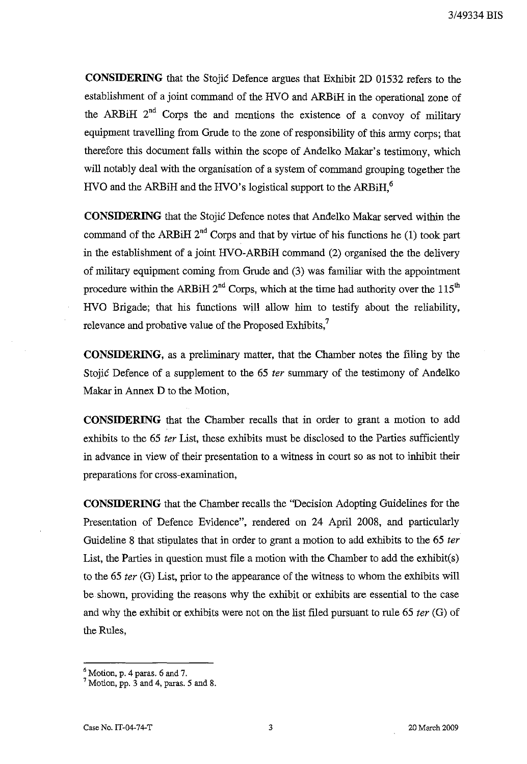**CONSIDERING** that the Stojic Defence argues that Exhibit 2D 01532 refers to the establishment of a joint command of the HVO and ARBiR in the operational zone of the ARBiH  $2^{nd}$  Corps the and mentions the existence of a convoy of military equipment travelling from Grude to the zone of responsibility of this army corps; that therefore this document falls within the scope of Andelko Makar's testimony, which will notably deal with the organisation of a system of command grouping together the HVO and the ARBiH and the HVO's logistical support to the ARBiH.<sup>6</sup>

**CONSIDERING** that the Stojic Defence notes that Andelko Makar served within the command of the ARBiH  $2^{nd}$  Corps and that by virtue of his functions he (1) took part in the establishment of a joint HVO-ARBiH command (2) organised the the delivery of military equipment coming from Grude and (3) was familiar with the appointment procedure within the ARBiH  $2<sup>nd</sup>$  Corps, which at the time had authority over the 115<sup>th</sup> RVO Brigade; that his functions will allow him to testify about the reliability, relevance and probative value of the Proposed Exhibits,<sup>7</sup>

**CONSIDERING,** as a preliminary matter, that the Chamber notes the filing by the Stojic Defence of a supplement to the 65 ter summary of the testimony of Andelko Makar in Annex D to the Motion,

**CONSIDERING** that the Chamber recalls that in order to grant a motion to add exhibits to the 65 ter List, these exhibits must be disclosed to the Parties sufficiently in advance in view of their presentation to a witness in court so as not to inhibit their preparations for cross-examination,

**CONSIDERING** that the Chamber recalls the "Decision Adopting Guidelines for the Presentation of Defence Evidence", rendered on 24 April 2008, and particularly Guideline 8 that stipulates that in order to grant a motion to add exhibits to the 65 ter List, the Parties in question must file a motion with the Chamber to add the exhibit(s) to the 65 fer (G) List, prior to the appearance of the witness to whom the exhibits will be shown, providing the reasons why the exhibit or exhibits are essential to the case and why the exhibit or exhibits were not on the list filed pursuant to rule 65 ter (G) of the Rules,

 $<sup>6</sup>$  Motion, p. 4 paras. 6 and 7.</sup>

 $7$  Motion, pp. 3 and 4, paras. 5 and 8.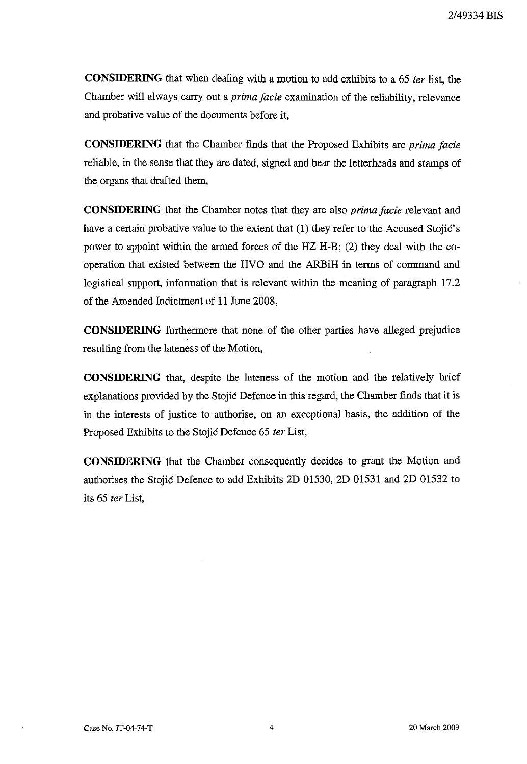**CONSIDERING** that when dealing with a motion to add exhibits to a 65 *fer* list, the Chamber will always carry out a *prima facie* examination of the reliability, relevance and probative value of the documents before it,

**CONSIDERING** that the Chamber finds that the Proposed Exhibits are *prima facie*  reliable, in the sense that they are dated, signed and bear the letterheads and stamps of the organs that drafted them,

**CONSIDERING** that the Chamber notes that they are also *prima facie* relevant and have a certain probative value to the extent that (1) they refer to the Accused Stojić's power to appoint within the anned forces of the HZ H-B; (2) they deal with the cooperation that existed between the HVO and the ARBiH in terms of command and logistical support, information that is relevant within the meaning of paragraph 17.2 of the Amended Indictment of 11 June 2008,

**CONSIDERING** furthermore that none of the other parties have alleged prejudice resulting from the lateness of the Motion,

**CONSIDERING** that, despite the lateness of the motion and the relatively brief explanations provided by the Stojic Defence in this regard, the Chamber finds that it is in the interests of justice to authorise, on an exceptional basis, the addition of the Proposed Exhibits to the Stojic Defence 65 *fer* List,

**CONSIDERING** that the Chamber consequently decides to grant the Motion and authorises the Stojic Defence to add Exhibits 2D 01530, 2D 01531 and 2D 01532 to its 65 *fer* List,